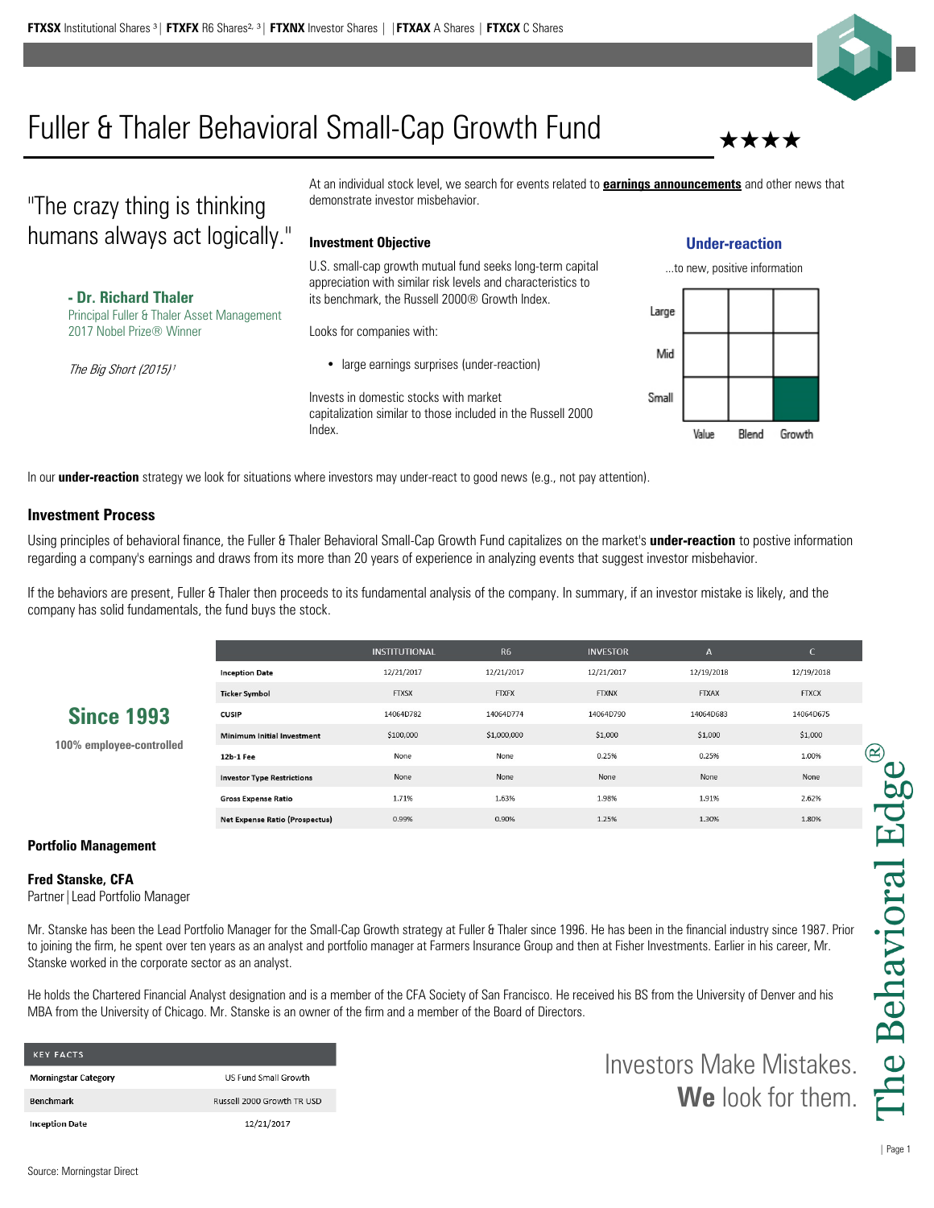

# Fuller & Thaler Behavioral Small-Cap Growth Fund

## "The crazy thing is thinking humans always act logically."

**- Dr. Richard Thaler** Principal Fuller & Thaler Asset Management 2017 Nobel Prize® Winner

The Big Short (2015)<sup>1</sup>

At an individual stock level, we search for events related to **earnings announcements** and other news that demonstrate investor misbehavior.

#### **Investment Objective**

U.S. small-cap growth mutual fund seeks long-term capital appreciation with similar risk levels and characteristics to its benchmark, the Russell 2000® Growth Index.

Looks for companies with:

• large earnings surprises (under-reaction)

Invests in domestic stocks with market capitalization similar to those included in the Russell 2000 Index.

### **Under-reaction**



In our **under-reaction** strategy we look for situations where investors may under-react to good news (e.g., not pay attention).

### **Investment Process**

Using principles of behavioral finance, the Fuller & Thaler Behavioral Small-Cap Growth Fund capitalizes on the market's **under-reaction** to postive information regarding a company's earnings and draws from its more than 20 years of experience in analyzing events that suggest investor misbehavior.

If the behaviors are present, Fuller & Thaler then proceeds to its fundamental analysis of the company. In summary, if an investor mistake is likely, and the company has solid fundamentals, the fund buys the stock.

|                                               |                                       | <b>INSTITUTIONAL</b> | <b>R6</b>    | <b>INVESTOR</b> | $\mathsf{A}$ | C.           |
|-----------------------------------------------|---------------------------------------|----------------------|--------------|-----------------|--------------|--------------|
| <b>Since 1993</b><br>100% employee-controlled | <b>Inception Date</b>                 | 12/21/2017           | 12/21/2017   | 12/21/2017      | 12/19/2018   | 12/19/2018   |
|                                               | <b>Ticker Symbol</b>                  | <b>FTXSX</b>         | <b>FTXFX</b> | <b>FTXNX</b>    | <b>FTXAX</b> | <b>FTXCX</b> |
|                                               | <b>CUSIP</b>                          | 14064D782            | 14064D774    | 14064D790       | 14064D683    | 14064D675    |
|                                               | Minimum Initial Investment            | \$100,000            | \$1,000,000  | \$1,000         | \$1,000      | \$1,000      |
|                                               | 12b-1 Fee                             | None                 | None         | 0.25%           | 0.25%        | 1.00%        |
|                                               | <b>Investor Type Restrictions</b>     | None                 | None         | None            | None         | None         |
|                                               | <b>Gross Expense Ratio</b>            | 1.71%                | 1.63%        | 1.98%           | 1.91%        | 2.62%        |
|                                               | <b>Net Expense Ratio (Prospectus)</b> | 0.99%                | 0.90%        | 1.25%           | 1.30%        | 1.80%        |

#### **Portfolio Management**

#### **Fred Stanske, CFA**

Partner|Lead Portfolio Manager

Mr. Stanske has been the Lead Portfolio Manager for the Small-Cap Growth strategy at Fuller & Thaler since 1996. He has been in the financial industry since 1987. Prior to joining the firm, he spent over ten years as an analyst and portfolio manager at Farmers Insurance Group and then at Fisher Investments. Earlier in his career, Mr. Stanske worked in the corporate sector as an analyst.

He holds the Chartered Financial Analyst designation and is a member of the CFA Society of San Francisco. He received his BS from the University of Denver and his MBA from the University of Chicago. Mr. Stanske is an owner of the firm and a member of the Board of Directors.

| <b>KEY FACTS</b>            |                            |
|-----------------------------|----------------------------|
| <b>Morningstar Category</b> | US Fund Small Growth       |
| <b>Benchmark</b>            | Russell 2000 Growth TR USD |
| <b>Inception Date</b>       | 12/21/2017                 |

Investors Make Mistakes. **We** look for them.